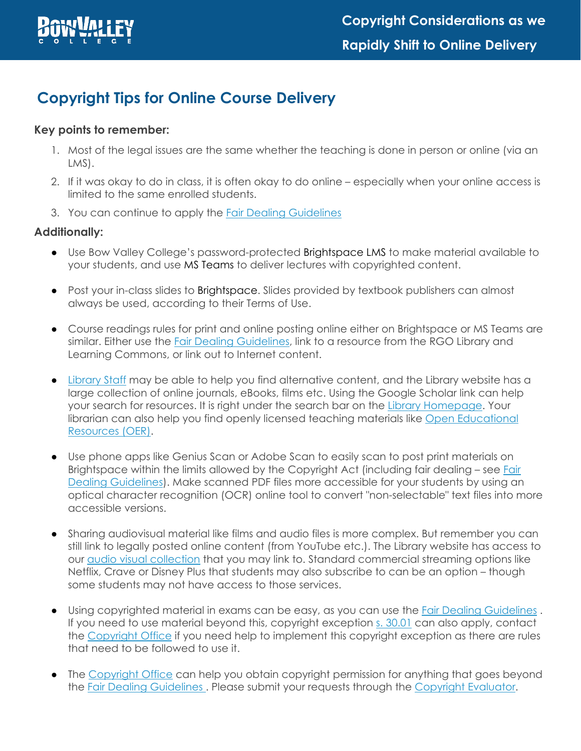

# **Copyright Tips for Online Course Delivery**

# **Key points to remember:**

- 1. Most of the legal issues are the same whether the teaching is done in person or online (via an LMS).
- 2. If it was okay to do in class, it is often okay to do online especially when your online access is limited to the same enrolled students.
- 3. You can continue to apply the [Fair Dealing Guidelines](https://bowvalleycollege.ca/-/media/bvc/home/teaching-and-research/aiar/copyright/bvc-fair-dealing-guidelines_2013.ashx)

### **Additionally:**

- Use Bow Valley College's password-protected Brightspace LMS to make material available to your students, and use MS Teams to deliver lectures with copyrighted content.
- Post your in-class slides to Brightspace. Slides provided by textbook publishers can almost always be used, according to their Terms of Use.
- Course readings rules for print and online posting online either on Brightspace or MS Teams are similar. Either use the [Fair Dealing Guidelines,](https://bowvalleycollege.ca/-/media/bvc/home/teaching-and-research/aiar/copyright/bvc-fair-dealing-guidelines_2013.ashx) link to a resource from the RGO Library and Learning Commons, or link out to Internet content.
- [Library Staff](https://bowvalleycollege.libanswers.com/) may be able to help you find alternative content, and the [Library website](https://bowvalleycollege.ca/student-resources/rgo-library-learning-commons) has a large collection of online journals, eBooks, films etc. Using the Google Scholar link can help your search for resources. It is right under the search bar on the [Library Homepage.](https://bowvalleycollege.ca/student-resources/rgo-library-learning-commons) Your librarian can also help you find openly licensed teaching materials like [Open Educational](https://bowvalleycollege.ca/student-resources/rgo-library-learning-commons/find-resources/teaching-resources)  [Resources \(OER\).](https://bowvalleycollege.ca/student-resources/rgo-library-learning-commons/find-resources/teaching-resources)
- Use phone apps like Genius Scan or Adobe Scan to easily scan to post print materials on Brightspace within the limits allowed by the Copyright Act (including fair dealing – see [Fair](https://bowvalleycollege.ca/-/media/bvc/home/teaching-and-research/aiar/copyright/bvc-fair-dealing-guidelines_2013.ashx)  [Dealing Guidelines\)](https://bowvalleycollege.ca/-/media/bvc/home/teaching-and-research/aiar/copyright/bvc-fair-dealing-guidelines_2013.ashx). Make scanned PDF files more accessible for your students by using an optical character recognition (OCR) online tool to convert "non-selectable" text files into more accessible versions.
- Sharing audiovisual material like films and audio files is more complex. But remember you can still link to legally posted online content (from YouTube etc.). The Library website has [a](https://library.ryerson.ca/services/av/resources/)ccess to our [audio visual collection](http://bowvalleycollege.libguides.com/az.php?t=7055) that you may link to. Standard commercial streaming options like Netflix, Crave or Disney Plus that students may also subscribe to can be an option – though some students may not have access to those services.
- Using copyrighted material in exams can be easy, as you can use the [Fair Dealing Guidelines](https://bowvalleycollege.ca/-/media/bvc/home/teaching-and-research/aiar/copyright/bvc-fair-dealing-guidelines_2013.ashx). If you need to use material beyond this, copyright exception [s. 30.01](https://laws-lois.justice.gc.ca/eng/acts/C-42/section-30.01.html) can also apply, contact the [Copyright Office](mailto:copyright@bowvalleycollege.ca) if you need help to implement this copyright exception as there are rules that need to be followed to use it.
- The [Copyright Office](mailto:copyright@bowvalleycollege.ca) can help you obtain copyright permission for anything that goes beyond the [Fair Dealing Guidelines](https://bowvalleycollege.ca/-/media/bvc/home/teaching-and-research/aiar/copyright/bvc-fair-dealing-guidelines_2013.ashx) . Please submit your requests through the [Copyright Evaluator.](https://copyright.bowvalleycollege.ca/)